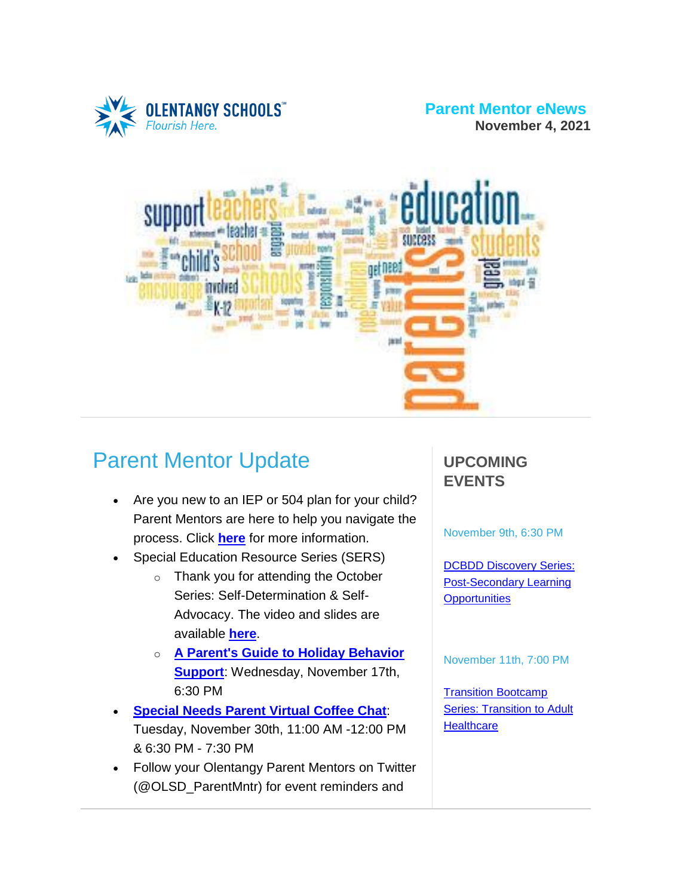

#### **Parent Mentor eNews November 4, 2021**



# Parent Mentor Update

- Are you new to an IEP or 504 plan for your child? Parent Mentors are here to help you navigate the process. Click **[here](https://www.olentangy.k12.oh.us/departments/pupil-services/parent-mentor-program)** for more information.
- Special Education Resource Series (SERS)
	- o Thank you for attending the October Series: Self-Determination & Self-Advocacy. The video and slides are available **[here](https://www.olentangy.k12.oh.us/departments/pupil-services/parent-mentor-program/parent-information-series)**.
	- o **A Parent's Guide to Holiday [Behavior](https://target.brightarrow.com/userfiles/3594-1/files/Invitation%20Flyer.pdf) [Support](https://target.brightarrow.com/userfiles/3594-1/files/Invitation%20Flyer.pdf)**: Wednesday, November 17th, 6:30 PM
- **[Special](https://target.brightarrow.com/userfiles/3594-1/files/Virtual%20Coffee%20Chat%20Invite%20November%202021.pdf) Needs Parent Virtual Coffee Chat**: Tuesday, November 30th, 11:00 AM -12:00 PM & 6:30 PM - 7:30 PM
- Follow your Olentangy Parent Mentors on Twitter (@OLSD\_ParentMntr) for event reminders and

#### **UPCOMING EVENTS**

November 9th, 6:30 PM

**DCBDD [Discovery](https://target.brightarrow.com/userfiles/3594-1/files/November%202021%20Discovery%20Series%202021-22%20Monthly%20Flyer.pdf) Series:** [Post-Secondary](https://target.brightarrow.com/userfiles/3594-1/files/November%202021%20Discovery%20Series%202021-22%20Monthly%20Flyer.pdf) Learning **[Opportunities](https://target.brightarrow.com/userfiles/3594-1/files/November%202021%20Discovery%20Series%202021-22%20Monthly%20Flyer.pdf)** 

November 11th, 7:00 PM

Transition [Bootcamp](https://target.brightarrow.com/userfiles/3594-1/files/Transition%20Bootcamp%20November%202021.pdf) **Series: [Transition](https://target.brightarrow.com/userfiles/3594-1/files/Transition%20Bootcamp%20November%202021.pdf) to Adult [Healthcare](https://target.brightarrow.com/userfiles/3594-1/files/Transition%20Bootcamp%20November%202021.pdf)**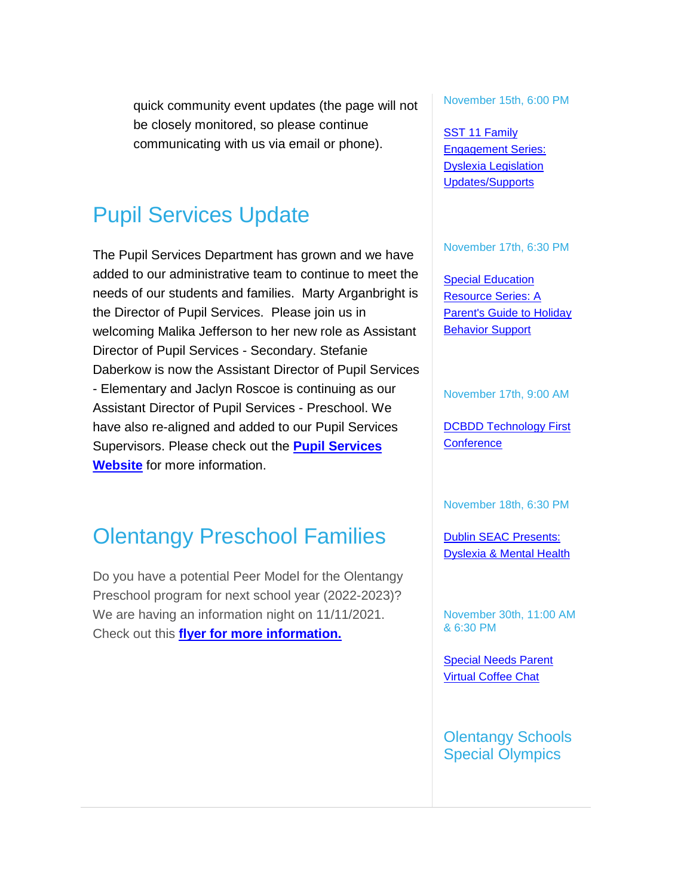quick community event updates (the page will not be closely monitored, so please continue communicating with us via email or phone).

## Pupil Services Update

The Pupil Services Department has grown and we have added to our administrative team to continue to meet the needs of our students and families. Marty Arganbright is the Director of Pupil Services. Please join us in welcoming Malika Jefferson to her new role as Assistant Director of Pupil Services - Secondary. Stefanie Daberkow is now the Assistant Director of Pupil Services - Elementary and Jaclyn Roscoe is continuing as our Assistant Director of Pupil Services - Preschool. We have also re-aligned and added to our Pupil Services Supervisors. Please check out the **Pupil [Services](https://www.olentangy.k12.oh.us/departments/pupil-services) [Website](https://www.olentangy.k12.oh.us/departments/pupil-services)** for more information.

## Olentangy Preschool Families

Do you have a potential Peer Model for the Olentangy Preschool program for next school year (2022-2023)? We are having an information night on 11/11/2021. Check out this **flyer for more [information.](https://target.brightarrow.com/userfiles/3594-1/files/Preschool%20Information%20Night%20Flyer%20-%2010_4_21%20(1).pdf)**

November 15th, 6:00 PM

SST 11 [Family](https://target.brightarrow.com/userfiles/3594-1/files/FamilyParent%20Engagement%20Series%2021-22.pdf) [Engagement](https://target.brightarrow.com/userfiles/3594-1/files/FamilyParent%20Engagement%20Series%2021-22.pdf) Series: Dyslexia [Legislation](https://target.brightarrow.com/userfiles/3594-1/files/FamilyParent%20Engagement%20Series%2021-22.pdf) [Updates/Supports](https://target.brightarrow.com/userfiles/3594-1/files/FamilyParent%20Engagement%20Series%2021-22.pdf)

#### November 17th, 6:30 PM

**Special [Education](https://target.brightarrow.com/userfiles/3594-1/files/Invitation%20Flyer.pdf)** [Resource](https://target.brightarrow.com/userfiles/3594-1/files/Invitation%20Flyer.pdf) Series: A [Parent's](https://target.brightarrow.com/userfiles/3594-1/files/Invitation%20Flyer.pdf) Guide to Holiday **[Behavior](https://target.brightarrow.com/userfiles/3594-1/files/Invitation%20Flyer.pdf) Support** 

November 17th, 9:00 AM

DCBDD [Technology](https://target.brightarrow.com/userfiles/3594-1/files/2021%20November%20Technology%20First%20Conference.pdf) First **[Conference](https://target.brightarrow.com/userfiles/3594-1/files/2021%20November%20Technology%20First%20Conference.pdf)** 

November 18th, 6:30 PM

Dublin SEAC [Presents:](https://target.brightarrow.com/userfiles/3594-1/files/SEAC%20Dyslexia%20%26%20MH%20Flyer%20FINAL.pdf) [Dyslexia](https://target.brightarrow.com/userfiles/3594-1/files/SEAC%20Dyslexia%20%26%20MH%20Flyer%20FINAL.pdf) & Mental Health

November 30th, 11:00 AM & 6:30 PM

[Special](https://target.brightarrow.com/userfiles/3594-1/files/Virtual%20Coffee%20Chat%20Invite%20November%202021.pdf) Needs Parent Virtual [Coffee](https://target.brightarrow.com/userfiles/3594-1/files/Virtual%20Coffee%20Chat%20Invite%20November%202021.pdf) Chat

Olentangy Schools Special Olympics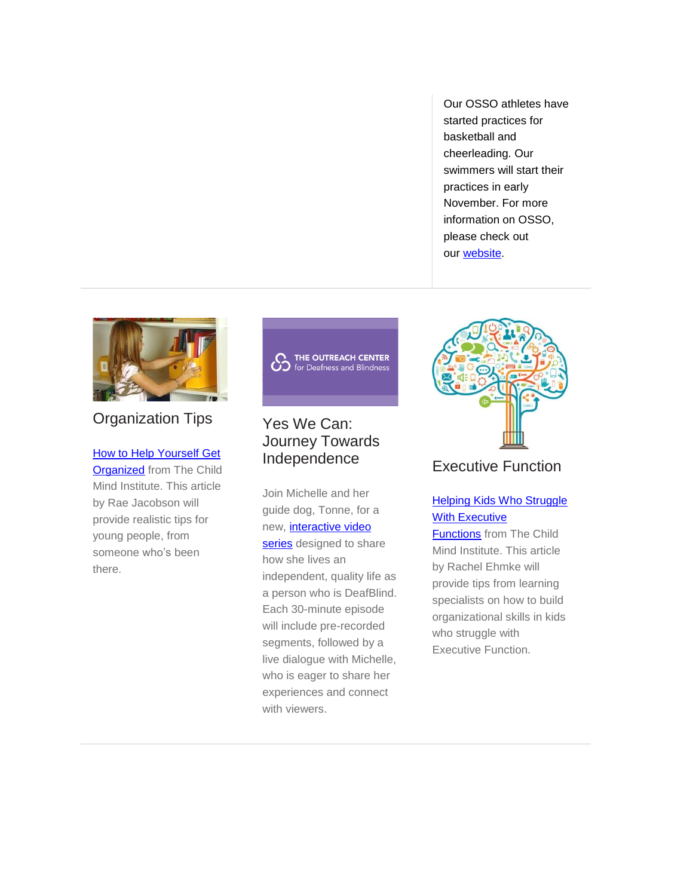Our OSSO athletes have started practices for basketball and cheerleading. Our swimmers will start their practices in early November. For more information on OSSO, please check out our [website.](https://www.olentangy.k12.oh.us/departments/pupil-services/olentangy-schools-special-olympics)



#### Organization Tips

**[H](https://childmind.org/article/how-to-help-yourself-get-organized/?utm_source=newsletter&utm_medium=email&utm_content=How%20to%20Help%20Yourself%20Get%20Organized&utm_campaign=Public-Ed-Newsletter)ow to Help [Yourself](https://childmind.org/article/how-to-help-yourself-get-organized/?utm_source=newsletter&utm_medium=email&utm_content=How%20to%20Help%20Yourself%20Get%20Organized&utm_campaign=Public-Ed-Newsletter) Get [Organized](https://childmind.org/article/how-to-help-yourself-get-organized/?utm_source=newsletter&utm_medium=email&utm_content=How%20to%20Help%20Yourself%20Get%20Organized&utm_campaign=Public-Ed-Newsletter) from The Child** Mind Institute. This article by Rae Jacobson will provide realistic tips for young people, from someone who's been there.



#### Yes We Can: Journey Towards Independence

Join Michelle and her guide dog, Tonne, for a new, *[interactive](https://deafandblindoutreach.org/Yes-We-Can-Journey-Towards-Independence)* video [series](https://deafandblindoutreach.org/Yes-We-Can-Journey-Towards-Independence) designed to share how she lives an independent, quality life as a person who is DeafBlind. Each 30-minute episode will include pre-recorded segments, followed by a live dialogue with Michelle, who is eager to share her experiences and connect with viewers.



#### Executive Function

#### Helping Kids Who [Struggle](https://childmind.org/article/helping-kids-who-struggle-with-executive-functions/?utm_source=newsletter&utm_medium=email&utm_content=Helping%20Kids%20Who%20Struggle%20With%20Executive%20Functions&utm_campaign=Public-Ed-Newsletter) With [Executive](https://childmind.org/article/helping-kids-who-struggle-with-executive-functions/?utm_source=newsletter&utm_medium=email&utm_content=Helping%20Kids%20Who%20Struggle%20With%20Executive%20Functions&utm_campaign=Public-Ed-Newsletter)

[Functions](https://childmind.org/article/helping-kids-who-struggle-with-executive-functions/?utm_source=newsletter&utm_medium=email&utm_content=Helping%20Kids%20Who%20Struggle%20With%20Executive%20Functions&utm_campaign=Public-Ed-Newsletter) from The Child Mind Institute. This article by Rachel Ehmke will provide tips from learning specialists on how to build organizational skills in kids who struggle with Executive Function.